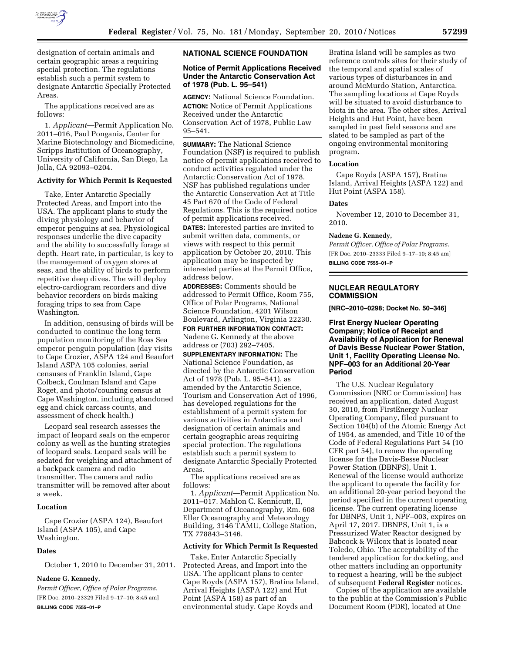

designation of certain animals and certain geographic areas a requiring special protection. The regulations establish such a permit system to designate Antarctic Specially Protected Areas.

The applications received are as follows:

1. *Applicant*—Permit Application No. 2011–016, Paul Ponganis, Center for Marine Biotechnology and Biomedicine, Scripps Institution of Oceanography, University of California, San Diego, La Jolla, CA 92093–0204.

## **Activity for Which Permit Is Requested**

Take, Enter Antarctic Specially Protected Areas, and Import into the USA. The applicant plans to study the diving physiology and behavior of emperor penguins at sea. Physiological responses underlie the dive capacity and the ability to successfully forage at depth. Heart rate, in particular, is key to the management of oxygen stores at seas, and the ability of birds to perform repetitive deep dives. The will deploy electro-cardiogram recorders and dive behavior recorders on birds making foraging trips to sea from Cape Washington.

In addition, censusing of birds will be conducted to continue the long term population monitoring of the Ross Sea emperor penguin population (day visits to Cape Crozier, ASPA 124 and Beaufort Island ASPA 105 colonies, aerial censuses of Franklin Island, Cape Colbeck, Coulman Island and Cape Roget, and photo/counting census at Cape Washington, including abandoned egg and chick carcass counts, and assessment of check health.)

Leopard seal research assesses the impact of leopard seals on the emperor colony as well as the hunting strategies of leopard seals. Leopard seals will be sedated for weighing and attachment of a backpack camera and radio transmitter. The camera and radio transmitter will be removed after about a week.

### **Location**

Cape Crozier (ASPA 124), Beaufort Island (ASPA 105), and Cape Washington.

### **Dates**

October 1, 2010 to December 31, 2011.

### **Nadene G. Kennedy,**

*Permit Officer, Office of Polar Programs.*  [FR Doc. 2010–23329 Filed 9–17–10; 8:45 am] **BILLING CODE 7555–01–P** 

### **NATIONAL SCIENCE FOUNDATION**

# **Notice of Permit Applications Received Under the Antarctic Conservation Act of 1978 (Pub. L. 95–541)**

**AGENCY:** National Science Foundation. **ACTION:** Notice of Permit Applications Received under the Antarctic Conservation Act of 1978, Public Law 95–541.

**SUMMARY:** The National Science Foundation (NSF) is required to publish notice of permit applications received to conduct activities regulated under the Antarctic Conservation Act of 1978. NSF has published regulations under the Antarctic Conservation Act at Title 45 Part 670 of the Code of Federal Regulations. This is the required notice of permit applications received. **DATES:** Interested parties are invited to submit written data, comments, or views with respect to this permit application by October 20, 2010. This application may be inspected by interested parties at the Permit Office, address below.

**ADDRESSES:** Comments should be addressed to Permit Office, Room 755, Office of Polar Programs, National Science Foundation, 4201 Wilson Boulevard, Arlington, Virginia 22230.

**FOR FURTHER INFORMATION CONTACT:**  Nadene G. Kennedy at the above address or (703) 292–7405.

**SUPPLEMENTARY INFORMATION:** The National Science Foundation, as directed by the Antarctic Conservation Act of 1978 (Pub. L. 95–541), as amended by the Antarctic Science, Tourism and Conservation Act of 1996, has developed regulations for the establishment of a permit system for various activities in Antarctica and designation of certain animals and certain geographic areas requiring special protection. The regulations establish such a permit system to designate Antarctic Specially Protected Areas.

The applications received are as follows:

1. *Applicant*—Permit Application No. 2011–017. Mahlon C. Kennicutt, II, Department of Oceanography, Rm. 608 Eller Oceanography and Meteorology Building, 3146 TAMU, College Station, TX 778843–3146.

### **Activity for Which Permit Is Requested**

Take, Enter Antarctic Specially Protected Areas, and Import into the USA. The applicant plans to center Cape Royds (ASPA 157), Bratina Island, Arrival Heights (ASPA 122) and Hut Point (ASPA 158) as part of an environmental study. Cape Royds and

Bratina Island will be samples as two reference controls sites for their study of the temporal and spatial scales of various types of disturbances in and around McMurdo Station, Antarctica. The sampling locations at Cape Royds will be situated to avoid disturbance to biota in the area. The other sites, Arrival Heights and Hut Point, have been sampled in past field seasons and are slated to be sampled as part of the ongoing environmental monitoring program.

#### **Location**

Cape Royds (ASPA 157), Bratina Island, Arrival Heights (ASPA 122) and Hut Point (ASPA 158).

# **Dates**

November 12, 2010 to December 31, 2010.

# **Nadene G. Kennedy,**

*Permit Officer, Office of Polar Programs.*  [FR Doc. 2010–23333 Filed 9–17–10; 8:45 am] **BILLING CODE 7555–01–P** 

# **NUCLEAR REGULATORY COMMISSION**

**[NRC–2010–0298; Docket No. 50–346]** 

**First Energy Nuclear Operating Company; Notice of Receipt and Availability of Application for Renewal of Davis Besse Nuclear Power Station, Unit 1, Facility Operating License No. NPF–003 for an Additional 20-Year Period** 

The U.S. Nuclear Regulatory Commission (NRC or Commission) has received an application, dated August 30, 2010, from FirstEnergy Nuclear Operating Company, filed pursuant to Section 104(b) of the Atomic Energy Act of 1954, as amended, and Title 10 of the Code of Federal Regulations Part 54 (10 CFR part 54), to renew the operating license for the Davis-Besse Nuclear Power Station (DBNPS), Unit 1. Renewal of the license would authorize the applicant to operate the facility for an additional 20-year period beyond the period specified in the current operating license. The current operating license for DBNPS, Unit 1, NPF–003, expires on April 17, 2017. DBNPS, Unit 1, is a Pressurized Water Reactor designed by Babcock & Wilcox that is located near Toledo, Ohio. The acceptability of the tendered application for docketing, and other matters including an opportunity to request a hearing, will be the subject of subsequent **Federal Register** notices.

Copies of the application are available to the public at the Commission's Public Document Room (PDR), located at One